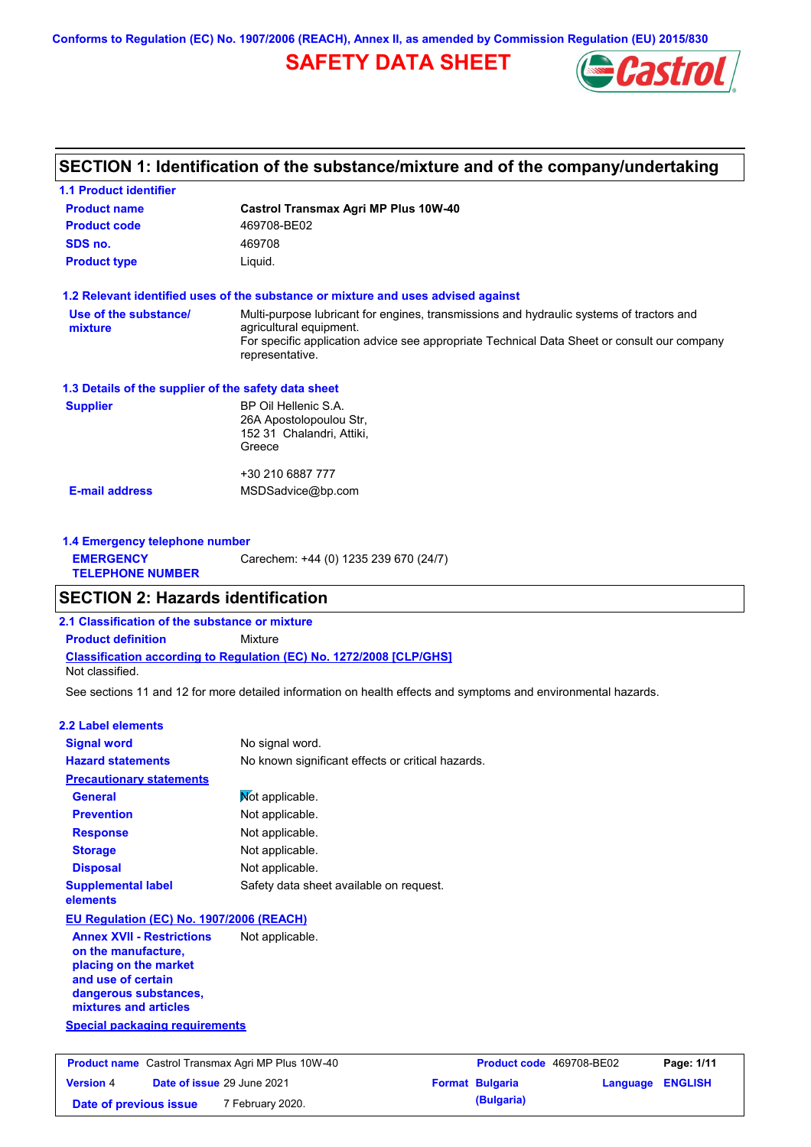**Conforms to Regulation (EC) No. 1907/2006 (REACH), Annex II, as amended by Commission Regulation (EU) 2015/830**

# **SAFETY DATA SHEET**



# **SECTION 1: Identification of the substance/mixture and of the company/undertaking**

| <b>1.1 Product identifier</b>                        |                                                                                                                                                                                                                                       |
|------------------------------------------------------|---------------------------------------------------------------------------------------------------------------------------------------------------------------------------------------------------------------------------------------|
| <b>Product name</b>                                  | <b>Castrol Transmax Agri MP Plus 10W-40</b>                                                                                                                                                                                           |
| <b>Product code</b>                                  | 469708-BE02                                                                                                                                                                                                                           |
| SDS no.                                              | 469708                                                                                                                                                                                                                                |
| <b>Product type</b>                                  | Liquid.                                                                                                                                                                                                                               |
|                                                      | 1.2 Relevant identified uses of the substance or mixture and uses advised against                                                                                                                                                     |
| Use of the substance/<br>mixture                     | Multi-purpose lubricant for engines, transmissions and hydraulic systems of tractors and<br>agricultural equipment.<br>For specific application advice see appropriate Technical Data Sheet or consult our company<br>representative. |
| 1.3 Details of the supplier of the safety data sheet |                                                                                                                                                                                                                                       |
| <b>Supplier</b>                                      | BP Oil Hellenic S.A.<br>26A Apostolopoulou Str,<br>152 31 Chalandri, Attiki,<br>Greece                                                                                                                                                |
|                                                      | +30 210 6887 777                                                                                                                                                                                                                      |
| <b>E-mail address</b>                                | MSDSadvice@bp.com                                                                                                                                                                                                                     |
| 1.4 Emergency telephone number                       |                                                                                                                                                                                                                                       |
| <b>EMERGENCY</b><br><b>TELEPHONE NUMBER</b>          | Carechem: +44 (0) 1235 239 670 (24/7)                                                                                                                                                                                                 |
| <b>SECTION 2: Hazards identification</b>             |                                                                                                                                                                                                                                       |
| 2.1 Classification of the substance or mixture       |                                                                                                                                                                                                                                       |
| <b>Product definition</b>                            | Mixture                                                                                                                                                                                                                               |
| Not classified.                                      | <b>Classification according to Regulation (EC) No. 1272/2008 [CLP/GHS]</b>                                                                                                                                                            |
|                                                      | See sections 11 and 12 for more detailed information on health effects and symptoms and environmental hazards.                                                                                                                        |
| <b>2.2 Label elements</b>                            |                                                                                                                                                                                                                                       |

| <b>Signal word</b>                                                                                                                                                                                | No signal word.                                   |
|---------------------------------------------------------------------------------------------------------------------------------------------------------------------------------------------------|---------------------------------------------------|
| <b>Hazard statements</b>                                                                                                                                                                          | No known significant effects or critical hazards. |
| <b>Precautionary statements</b>                                                                                                                                                                   |                                                   |
| <b>General</b>                                                                                                                                                                                    | Mot applicable.                                   |
| <b>Prevention</b>                                                                                                                                                                                 | Not applicable.                                   |
| <b>Response</b>                                                                                                                                                                                   | Not applicable.                                   |
| <b>Storage</b>                                                                                                                                                                                    | Not applicable.                                   |
| <b>Disposal</b>                                                                                                                                                                                   | Not applicable.                                   |
| <b>Supplemental label</b><br>elements                                                                                                                                                             | Safety data sheet available on request.           |
| EU Regulation (EC) No. 1907/2006 (REACH)                                                                                                                                                          |                                                   |
| <b>Annex XVII - Restrictions</b><br>on the manufacture,<br>placing on the market<br>and use of certain<br>dangerous substances,<br>mixtures and articles<br><b>Special packaging requirements</b> | Not applicable.                                   |
|                                                                                                                                                                                                   |                                                   |

| <b>Product name</b> Castrol Transmax Agri MP Plus 10W-40 |  | <b>Product code</b> 469708-BE02   |  | Page: 1/11             |                         |  |
|----------------------------------------------------------|--|-----------------------------------|--|------------------------|-------------------------|--|
| <b>Version 4</b>                                         |  | <b>Date of issue 29 June 2021</b> |  | <b>Format Bulgaria</b> | <b>Language ENGLISH</b> |  |
| Date of previous issue                                   |  | 7 February 2020.                  |  | (Bulgaria)             |                         |  |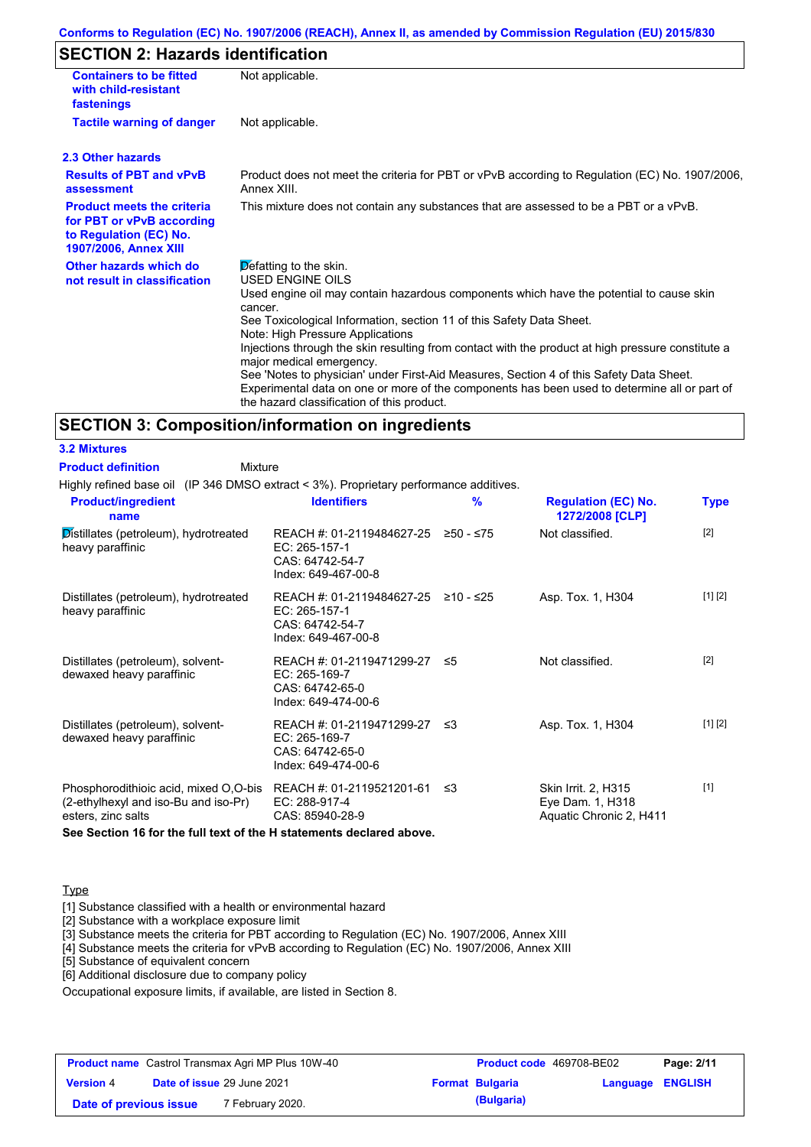## **SECTION 2: Hazards identification**

| <b>Containers to be fitted</b><br>with child-resistant<br>fastenings                                                     | Not applicable.                                                                                                                                                                                                                                                                                                                                                                                                                                                                                                                                                                                                                               |
|--------------------------------------------------------------------------------------------------------------------------|-----------------------------------------------------------------------------------------------------------------------------------------------------------------------------------------------------------------------------------------------------------------------------------------------------------------------------------------------------------------------------------------------------------------------------------------------------------------------------------------------------------------------------------------------------------------------------------------------------------------------------------------------|
| <b>Tactile warning of danger</b>                                                                                         | Not applicable.                                                                                                                                                                                                                                                                                                                                                                                                                                                                                                                                                                                                                               |
| 2.3 Other hazards                                                                                                        |                                                                                                                                                                                                                                                                                                                                                                                                                                                                                                                                                                                                                                               |
| <b>Results of PBT and vPvB</b><br>assessment                                                                             | Product does not meet the criteria for PBT or vPvB according to Regulation (EC) No. 1907/2006,<br>Annex XIII                                                                                                                                                                                                                                                                                                                                                                                                                                                                                                                                  |
| <b>Product meets the criteria</b><br>for PBT or vPvB according<br>to Regulation (EC) No.<br><b>1907/2006, Annex XIII</b> | This mixture does not contain any substances that are assessed to be a PBT or a vPvB.                                                                                                                                                                                                                                                                                                                                                                                                                                                                                                                                                         |
| Other hazards which do<br>not result in classification                                                                   | Defatting to the skin.<br><b>USED ENGINE OILS</b><br>Used engine oil may contain hazardous components which have the potential to cause skin<br>cancer.<br>See Toxicological Information, section 11 of this Safety Data Sheet.<br>Note: High Pressure Applications<br>Injections through the skin resulting from contact with the product at high pressure constitute a<br>major medical emergency.<br>See 'Notes to physician' under First-Aid Measures, Section 4 of this Safety Data Sheet.<br>Experimental data on one or more of the components has been used to determine all or part of<br>the hazard classification of this product. |

### **SECTION 3: Composition/information on ingredients**

| <b>3.2 Mixtures</b>       |
|---------------------------|
| <b>Product definition</b> |

Mixture

Highly refined base oil (IP 346 DMSO extract < 3%). Proprietary performance additives.

| <b>Product/ingredient</b><br>name                                                                   | <b>Identifiers</b>                                                                               | $\frac{9}{6}$ | <b>Regulation (EC) No.</b><br>1272/2008 [CLP]                      | <b>Type</b> |
|-----------------------------------------------------------------------------------------------------|--------------------------------------------------------------------------------------------------|---------------|--------------------------------------------------------------------|-------------|
| Distillates (petroleum), hydrotreated<br>heavy paraffinic                                           | REACH #: 01-2119484627-25<br>EC: 265-157-1<br>CAS: 64742-54-7<br>Index: 649-467-00-8             | ≥50 - ≤75     | Not classified.                                                    | $[2]$       |
| Distillates (petroleum), hydrotreated<br>heavy paraffinic                                           | REACH #: 01-2119484627-25 ≥10 - ≤25<br>EC: $265-157-1$<br>CAS: 64742-54-7<br>Index: 649-467-00-8 |               | Asp. Tox. 1, H304                                                  | [1] [2]     |
| Distillates (petroleum), solvent-<br>dewaxed heavy paraffinic                                       | REACH #: 01-2119471299-27 ≤5<br>EC: 265-169-7<br>CAS: 64742-65-0<br>Index: 649-474-00-6          |               | Not classified.                                                    | $[2]$       |
| Distillates (petroleum), solvent-<br>dewaxed heavy paraffinic                                       | REACH #: 01-2119471299-27 ≤3<br>EC: 265-169-7<br>CAS: 64742-65-0<br>Index: 649-474-00-6          |               | Asp. Tox. 1, H304                                                  | [1] [2]     |
| Phosphorodithioic acid, mixed O,O-bis<br>(2-ethylhexyl and iso-Bu and iso-Pr)<br>esters, zinc salts | REACH #: 01-2119521201-61 ≤3<br>EC: 288-917-4<br>CAS: 85940-28-9                                 |               | Skin Irrit. 2, H315<br>Eye Dam. 1, H318<br>Aquatic Chronic 2, H411 | $[1]$       |

**See Section 16 for the full text of the H statements declared above.**

#### **Type**

[1] Substance classified with a health or environmental hazard

[2] Substance with a workplace exposure limit

[3] Substance meets the criteria for PBT according to Regulation (EC) No. 1907/2006, Annex XIII

[4] Substance meets the criteria for vPvB according to Regulation (EC) No. 1907/2006, Annex XIII

[5] Substance of equivalent concern

[6] Additional disclosure due to company policy

Occupational exposure limits, if available, are listed in Section 8.

| <b>Product name</b> Castrol Transmax Agri MP Plus 10W-40 |  | Product code 469708-BE02   |                        | Page: 2/11              |  |
|----------------------------------------------------------|--|----------------------------|------------------------|-------------------------|--|
| <b>Version 4</b>                                         |  | Date of issue 29 June 2021 | <b>Format Bulgaria</b> | <b>Language ENGLISH</b> |  |
| Date of previous issue                                   |  | 7 February 2020.           | (Bulgaria)             |                         |  |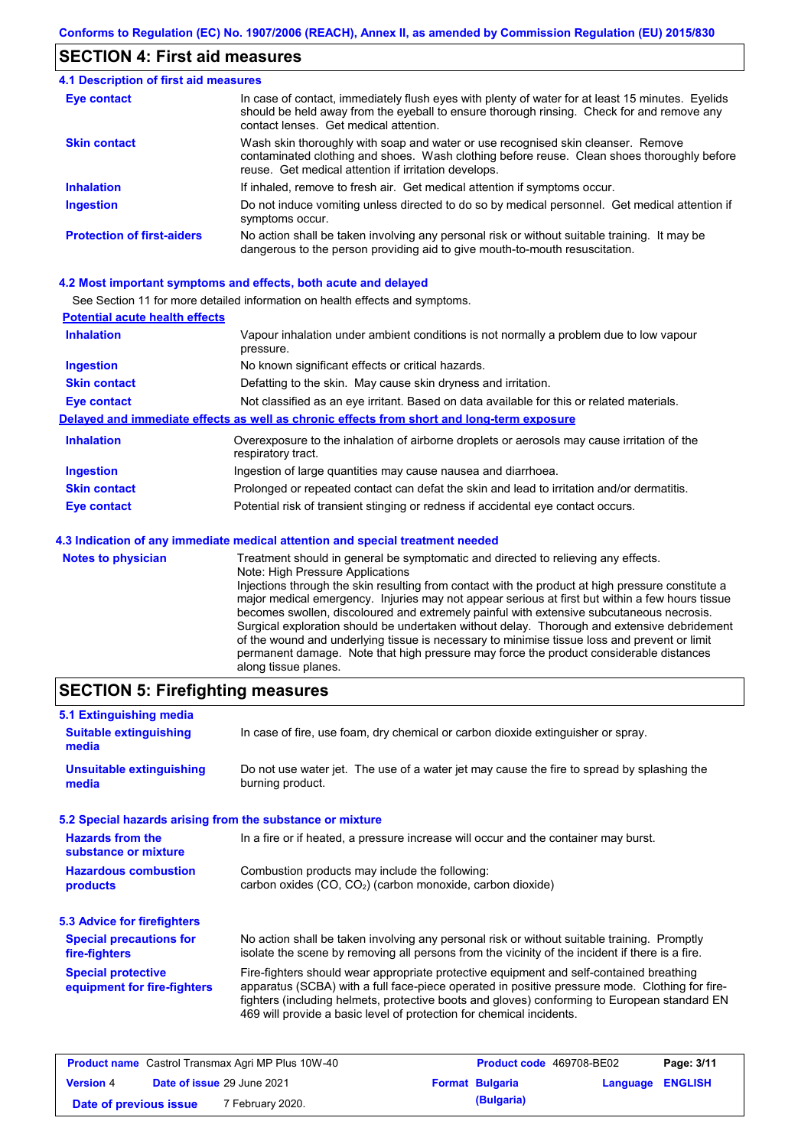### **SECTION 4: First aid measures**

#### Do not induce vomiting unless directed to do so by medical personnel. Get medical attention if symptoms occur. In case of contact, immediately flush eyes with plenty of water for at least 15 minutes. Eyelids should be held away from the eyeball to ensure thorough rinsing. Check for and remove any contact lenses. Get medical attention. **4.1 Description of first aid measures** If inhaled, remove to fresh air. Get medical attention if symptoms occur. **Ingestion Inhalation Eye contact Protection of first-aiders** No action shall be taken involving any personal risk or without suitable training. It may be dangerous to the person providing aid to give mouth-to-mouth resuscitation. **Skin contact** Wash skin thoroughly with soap and water or use recognised skin cleanser. Remove contaminated clothing and shoes. Wash clothing before reuse. Clean shoes thoroughly before reuse. Get medical attention if irritation develops.

#### **4.2 Most important symptoms and effects, both acute and delayed**

See Section 11 for more detailed information on health effects and symptoms.

| <b>Potential acute health effects</b> |                                                                                                                   |
|---------------------------------------|-------------------------------------------------------------------------------------------------------------------|
| <b>Inhalation</b>                     | Vapour inhalation under ambient conditions is not normally a problem due to low vapour<br>pressure.               |
| <b>Ingestion</b>                      | No known significant effects or critical hazards.                                                                 |
| <b>Skin contact</b>                   | Defatting to the skin. May cause skin dryness and irritation.                                                     |
| <b>Eye contact</b>                    | Not classified as an eye irritant. Based on data available for this or related materials.                         |
|                                       | Delayed and immediate effects as well as chronic effects from short and long-term exposure                        |
| <b>Inhalation</b>                     | Overexposure to the inhalation of airborne droplets or aerosols may cause irritation of the<br>respiratory tract. |
| <b>Ingestion</b>                      | Ingestion of large quantities may cause nausea and diarrhoea.                                                     |
| <b>Skin contact</b>                   | Prolonged or repeated contact can defat the skin and lead to irritation and/or dermatitis.                        |
| Eye contact                           | Potential risk of transient stinging or redness if accidental eye contact occurs.                                 |
|                                       | 4.3 Indication of any immediate medical attention and special treatment needed                                    |
| Notes to physician                    | Treatment should in general he symptomatic and directed to relieving any effects                                  |

| <b>Notes to physician</b> | Treatment should in general be symptomatic and directed to relieving any effects.                 |
|---------------------------|---------------------------------------------------------------------------------------------------|
|                           | Note: High Pressure Applications                                                                  |
|                           | Injections through the skin resulting from contact with the product at high pressure constitute a |
|                           | major medical emergency. Injuries may not appear serious at first but within a few hours tissue   |
|                           | becomes swollen, discoloured and extremely painful with extensive subcutaneous necrosis.          |
|                           | Surgical exploration should be undertaken without delay. Thorough and extensive debridement       |
|                           | of the wound and underlying tissue is necessary to minimise tissue loss and prevent or limit      |
|                           | permanent damage. Note that high pressure may force the product considerable distances            |
|                           | along tissue planes.                                                                              |

### **SECTION 5: Firefighting measures**

| 5.1 Extinguishing media                                   |                                                                                                                                                                                                                                                                                                                                                                   |
|-----------------------------------------------------------|-------------------------------------------------------------------------------------------------------------------------------------------------------------------------------------------------------------------------------------------------------------------------------------------------------------------------------------------------------------------|
| <b>Suitable extinguishing</b><br>media                    | In case of fire, use foam, dry chemical or carbon dioxide extinguisher or spray.                                                                                                                                                                                                                                                                                  |
| <b>Unsuitable extinguishing</b><br>media                  | Do not use water jet. The use of a water jet may cause the fire to spread by splashing the<br>burning product.                                                                                                                                                                                                                                                    |
| 5.2 Special hazards arising from the substance or mixture |                                                                                                                                                                                                                                                                                                                                                                   |
| <b>Hazards from the</b><br>substance or mixture           | In a fire or if heated, a pressure increase will occur and the container may burst.                                                                                                                                                                                                                                                                               |
| <b>Hazardous combustion</b><br>products                   | Combustion products may include the following:<br>carbon oxides (CO, CO <sub>2</sub> ) (carbon monoxide, carbon dioxide)                                                                                                                                                                                                                                          |
| 5.3 Advice for firefighters                               |                                                                                                                                                                                                                                                                                                                                                                   |
| <b>Special precautions for</b><br>fire-fighters           | No action shall be taken involving any personal risk or without suitable training. Promptly<br>isolate the scene by removing all persons from the vicinity of the incident if there is a fire.                                                                                                                                                                    |
| <b>Special protective</b><br>equipment for fire-fighters  | Fire-fighters should wear appropriate protective equipment and self-contained breathing<br>apparatus (SCBA) with a full face-piece operated in positive pressure mode. Clothing for fire-<br>fighters (including helmets, protective boots and gloves) conforming to European standard EN<br>469 will provide a basic level of protection for chemical incidents. |

| <b>Product name</b> Castrol Transmax Agri MP Plus 10W-40 |  | <b>Product code</b> 469708-BE02 |  | Page: 3/11             |                         |  |
|----------------------------------------------------------|--|---------------------------------|--|------------------------|-------------------------|--|
| <b>Version 4</b>                                         |  | Date of issue 29 June 2021      |  | <b>Format Bulgaria</b> | <b>Language ENGLISH</b> |  |
| Date of previous issue                                   |  | <sup>7</sup> February 2020.     |  | (Bulgaria)             |                         |  |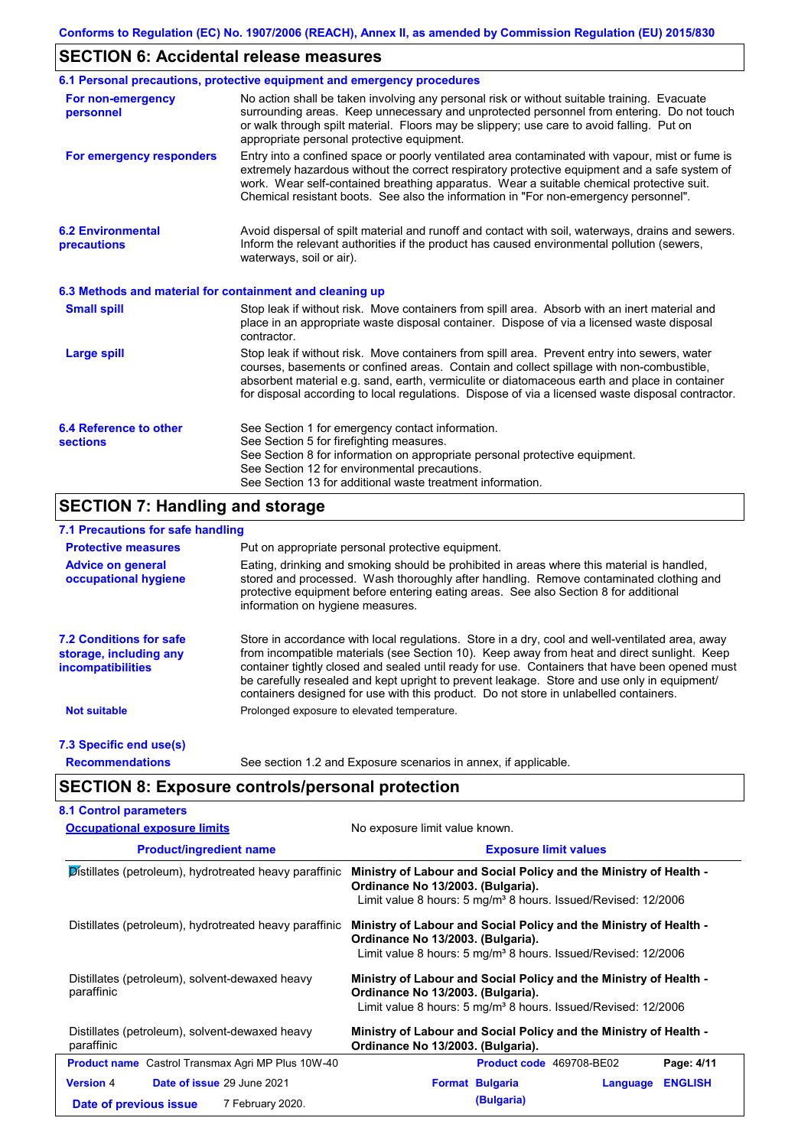## **SECTION 6: Accidental release measures**

|                                                          | 6.1 Personal precautions, protective equipment and emergency procedures                                                                                                                                                                                                                                                                                                                        |
|----------------------------------------------------------|------------------------------------------------------------------------------------------------------------------------------------------------------------------------------------------------------------------------------------------------------------------------------------------------------------------------------------------------------------------------------------------------|
| For non-emergency<br>personnel                           | No action shall be taken involving any personal risk or without suitable training. Evacuate<br>surrounding areas. Keep unnecessary and unprotected personnel from entering. Do not touch<br>or walk through spilt material. Floors may be slippery; use care to avoid falling. Put on<br>appropriate personal protective equipment.                                                            |
| For emergency responders                                 | Entry into a confined space or poorly ventilated area contaminated with vapour, mist or fume is<br>extremely hazardous without the correct respiratory protective equipment and a safe system of<br>work. Wear self-contained breathing apparatus. Wear a suitable chemical protective suit.<br>Chemical resistant boots. See also the information in "For non-emergency personnel".           |
| <b>6.2 Environmental</b><br>precautions                  | Avoid dispersal of spilt material and runoff and contact with soil, waterways, drains and sewers.<br>Inform the relevant authorities if the product has caused environmental pollution (sewers,<br>waterways, soil or air).                                                                                                                                                                    |
| 6.3 Methods and material for containment and cleaning up |                                                                                                                                                                                                                                                                                                                                                                                                |
| <b>Small spill</b>                                       | Stop leak if without risk. Move containers from spill area. Absorb with an inert material and<br>place in an appropriate waste disposal container. Dispose of via a licensed waste disposal<br>contractor.                                                                                                                                                                                     |
| <b>Large spill</b>                                       | Stop leak if without risk. Move containers from spill area. Prevent entry into sewers, water<br>courses, basements or confined areas. Contain and collect spillage with non-combustible,<br>absorbent material e.g. sand, earth, vermiculite or diatomaceous earth and place in container<br>for disposal according to local regulations. Dispose of via a licensed waste disposal contractor. |
| 6.4 Reference to other<br><b>sections</b>                | See Section 1 for emergency contact information.<br>See Section 5 for firefighting measures.<br>See Section 8 for information on appropriate personal protective equipment.<br>See Section 12 for environmental precautions.<br>See Section 13 for additional waste treatment information.                                                                                                     |

# **SECTION 7: Handling and storage**

### **7.1 Precautions for safe handling**

| <b>Protective measures</b>                                                           | Put on appropriate personal protective equipment.                                                                                                                                                                                                                                                                                                                                                                                                                                        |
|--------------------------------------------------------------------------------------|------------------------------------------------------------------------------------------------------------------------------------------------------------------------------------------------------------------------------------------------------------------------------------------------------------------------------------------------------------------------------------------------------------------------------------------------------------------------------------------|
| <b>Advice on general</b><br>occupational hygiene                                     | Eating, drinking and smoking should be prohibited in areas where this material is handled,<br>stored and processed. Wash thoroughly after handling. Remove contaminated clothing and<br>protective equipment before entering eating areas. See also Section 8 for additional<br>information on hygiene measures.                                                                                                                                                                         |
| <b>7.2 Conditions for safe</b><br>storage, including any<br><i>incompatibilities</i> | Store in accordance with local requiations. Store in a dry, cool and well-ventilated area, away<br>from incompatible materials (see Section 10). Keep away from heat and direct sunlight. Keep<br>container tightly closed and sealed until ready for use. Containers that have been opened must<br>be carefully resealed and kept upright to prevent leakage. Store and use only in equipment/<br>containers designed for use with this product. Do not store in unlabelled containers. |
| <b>Not suitable</b>                                                                  | Prolonged exposure to elevated temperature.                                                                                                                                                                                                                                                                                                                                                                                                                                              |
| 7.3 Specific end use(s)                                                              |                                                                                                                                                                                                                                                                                                                                                                                                                                                                                          |
| <b>Recommendations</b>                                                               | See section 1.2 and Exposure scenarios in annex, if applicable.                                                                                                                                                                                                                                                                                                                                                                                                                          |

# **SECTION 8: Exposure controls/personal protection**

| <b>Occupational exposure limits</b>                          | No exposure limit value known.                                                                                                                                                      |  |  |  |
|--------------------------------------------------------------|-------------------------------------------------------------------------------------------------------------------------------------------------------------------------------------|--|--|--|
| <b>Product/ingredient name</b>                               | <b>Exposure limit values</b>                                                                                                                                                        |  |  |  |
| Distillates (petroleum), hydrotreated heavy paraffinic       | Ministry of Labour and Social Policy and the Ministry of Health -<br>Ordinance No 13/2003. (Bulgaria).<br>Limit value 8 hours: 5 mg/m <sup>3</sup> 8 hours. Issued/Revised: 12/2006 |  |  |  |
| Distillates (petroleum), hydrotreated heavy paraffinic       | Ministry of Labour and Social Policy and the Ministry of Health -<br>Ordinance No 13/2003. (Bulgaria).<br>Limit value 8 hours: 5 mg/m <sup>3</sup> 8 hours. Issued/Revised: 12/2006 |  |  |  |
| Distillates (petroleum), solvent-dewaxed heavy<br>paraffinic | Ministry of Labour and Social Policy and the Ministry of Health -<br>Ordinance No 13/2003. (Bulgaria).<br>Limit value 8 hours: 5 mg/m <sup>3</sup> 8 hours. Issued/Revised: 12/2006 |  |  |  |
| Distillates (petroleum), solvent-dewaxed heavy<br>paraffinic | Ministry of Labour and Social Policy and the Ministry of Health -<br>Ordinance No 13/2003. (Bulgaria).                                                                              |  |  |  |
| <b>Product name</b> Castrol Transmax Agri MP Plus 10W-40     | Page: 4/11<br>Product code 469708-BE02                                                                                                                                              |  |  |  |
| Date of issue 29 June 2021<br><b>Version 4</b>               | <b>ENGLISH</b><br><b>Format Bulgaria</b><br>Language                                                                                                                                |  |  |  |
| 7 February 2020.<br>Date of previous issue                   | (Bulgaria)                                                                                                                                                                          |  |  |  |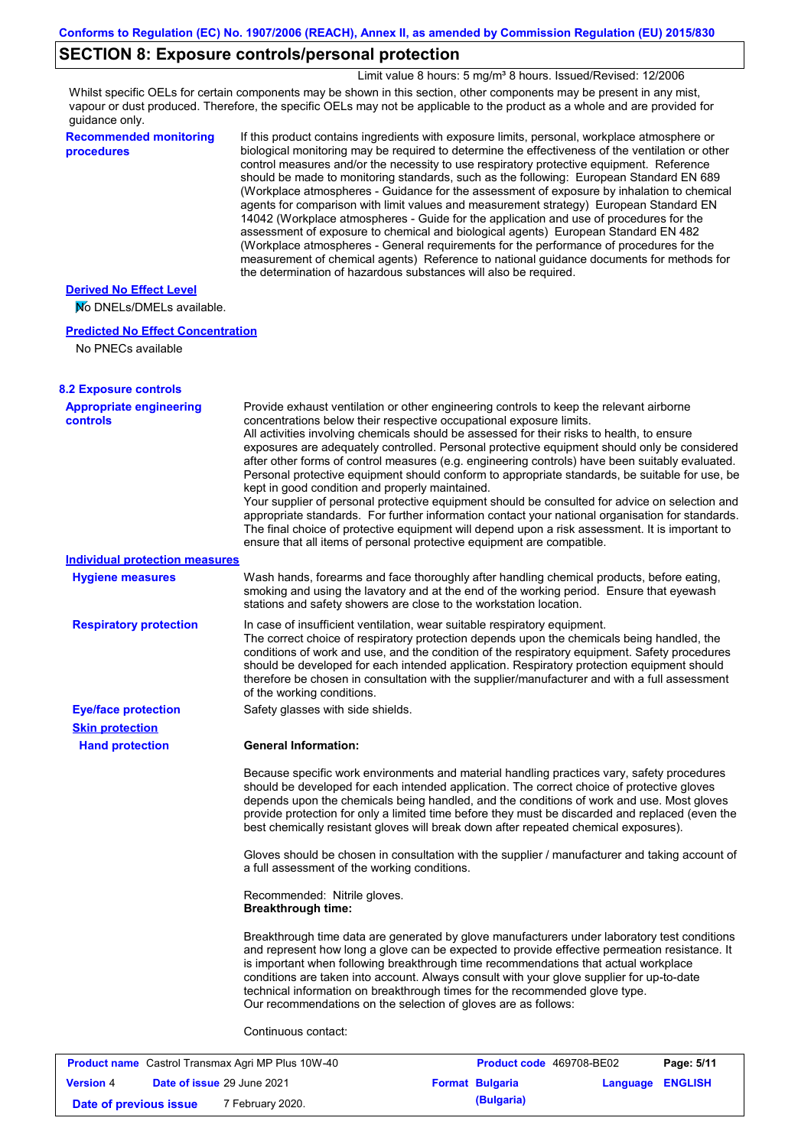### **SECTION 8: Exposure controls/personal protection**

Limit value 8 hours: 5 mg/m<sup>3</sup> 8 hours. Issued/Revised: 12/2006

Whilst specific OELs for certain components may be shown in this section, other components may be present in any mist, vapour or dust produced. Therefore, the specific OELs may not be applicable to the product as a whole and are provided for guidance only.

**Recommended monitoring procedures**

If this product contains ingredients with exposure limits, personal, workplace atmosphere or biological monitoring may be required to determine the effectiveness of the ventilation or other control measures and/or the necessity to use respiratory protective equipment. Reference should be made to monitoring standards, such as the following: European Standard EN 689 (Workplace atmospheres - Guidance for the assessment of exposure by inhalation to chemical agents for comparison with limit values and measurement strategy) European Standard EN 14042 (Workplace atmospheres - Guide for the application and use of procedures for the assessment of exposure to chemical and biological agents) European Standard EN 482 (Workplace atmospheres - General requirements for the performance of procedures for the measurement of chemical agents) Reference to national guidance documents for methods for the determination of hazardous substances will also be required.

### **Derived No Effect Level**

No DNELs/DMELs available.

#### **Predicted No Effect Concentration**

No PNECs available

| <b>8.2 Exposure controls</b>                      |                                                                                                                                                                                                                                                                                                                                                                                                                                                                                                                                                                                                                                                                                                                                                                                                                                                                                                                                                                                                         |
|---------------------------------------------------|---------------------------------------------------------------------------------------------------------------------------------------------------------------------------------------------------------------------------------------------------------------------------------------------------------------------------------------------------------------------------------------------------------------------------------------------------------------------------------------------------------------------------------------------------------------------------------------------------------------------------------------------------------------------------------------------------------------------------------------------------------------------------------------------------------------------------------------------------------------------------------------------------------------------------------------------------------------------------------------------------------|
| <b>Appropriate engineering</b><br><b>controls</b> | Provide exhaust ventilation or other engineering controls to keep the relevant airborne<br>concentrations below their respective occupational exposure limits.<br>All activities involving chemicals should be assessed for their risks to health, to ensure<br>exposures are adequately controlled. Personal protective equipment should only be considered<br>after other forms of control measures (e.g. engineering controls) have been suitably evaluated.<br>Personal protective equipment should conform to appropriate standards, be suitable for use, be<br>kept in good condition and properly maintained.<br>Your supplier of personal protective equipment should be consulted for advice on selection and<br>appropriate standards. For further information contact your national organisation for standards.<br>The final choice of protective equipment will depend upon a risk assessment. It is important to<br>ensure that all items of personal protective equipment are compatible. |
| <b>Individual protection measures</b>             |                                                                                                                                                                                                                                                                                                                                                                                                                                                                                                                                                                                                                                                                                                                                                                                                                                                                                                                                                                                                         |
| <b>Hygiene measures</b>                           | Wash hands, forearms and face thoroughly after handling chemical products, before eating,<br>smoking and using the lavatory and at the end of the working period. Ensure that eyewash<br>stations and safety showers are close to the workstation location.                                                                                                                                                                                                                                                                                                                                                                                                                                                                                                                                                                                                                                                                                                                                             |
| <b>Respiratory protection</b>                     | In case of insufficient ventilation, wear suitable respiratory equipment.<br>The correct choice of respiratory protection depends upon the chemicals being handled, the<br>conditions of work and use, and the condition of the respiratory equipment. Safety procedures<br>should be developed for each intended application. Respiratory protection equipment should<br>therefore be chosen in consultation with the supplier/manufacturer and with a full assessment<br>of the working conditions.                                                                                                                                                                                                                                                                                                                                                                                                                                                                                                   |
| <b>Eye/face protection</b>                        | Safety glasses with side shields.                                                                                                                                                                                                                                                                                                                                                                                                                                                                                                                                                                                                                                                                                                                                                                                                                                                                                                                                                                       |
| <b>Skin protection</b>                            |                                                                                                                                                                                                                                                                                                                                                                                                                                                                                                                                                                                                                                                                                                                                                                                                                                                                                                                                                                                                         |
| <b>Hand protection</b>                            | <b>General Information:</b>                                                                                                                                                                                                                                                                                                                                                                                                                                                                                                                                                                                                                                                                                                                                                                                                                                                                                                                                                                             |
|                                                   | Because specific work environments and material handling practices vary, safety procedures<br>should be developed for each intended application. The correct choice of protective gloves<br>depends upon the chemicals being handled, and the conditions of work and use. Most gloves<br>provide protection for only a limited time before they must be discarded and replaced (even the<br>best chemically resistant gloves will break down after repeated chemical exposures).                                                                                                                                                                                                                                                                                                                                                                                                                                                                                                                        |
|                                                   | Gloves should be chosen in consultation with the supplier / manufacturer and taking account of<br>a full assessment of the working conditions.                                                                                                                                                                                                                                                                                                                                                                                                                                                                                                                                                                                                                                                                                                                                                                                                                                                          |
|                                                   | Recommended: Nitrile gloves.<br><b>Breakthrough time:</b>                                                                                                                                                                                                                                                                                                                                                                                                                                                                                                                                                                                                                                                                                                                                                                                                                                                                                                                                               |
|                                                   | Breakthrough time data are generated by glove manufacturers under laboratory test conditions<br>and represent how long a glove can be expected to provide effective permeation resistance. It<br>is important when following breakthrough time recommendations that actual workplace<br>conditions are taken into account. Always consult with your glove supplier for up-to-date<br>technical information on breakthrough times for the recommended glove type.<br>Our recommendations on the selection of gloves are as follows:                                                                                                                                                                                                                                                                                                                                                                                                                                                                      |
|                                                   | Continuous contact:                                                                                                                                                                                                                                                                                                                                                                                                                                                                                                                                                                                                                                                                                                                                                                                                                                                                                                                                                                                     |

| <b>Product name</b> Castrol Transmax Agri MP Plus 10W-40 |  | <b>Product code</b> 469708-BE02   |  | Page: 5/11             |                         |  |
|----------------------------------------------------------|--|-----------------------------------|--|------------------------|-------------------------|--|
| <b>Version 4</b>                                         |  | <b>Date of issue 29 June 2021</b> |  | <b>Format Bulgaria</b> | <b>Language ENGLISH</b> |  |
| Date of previous issue                                   |  | 7 February 2020.                  |  | (Bulgaria)             |                         |  |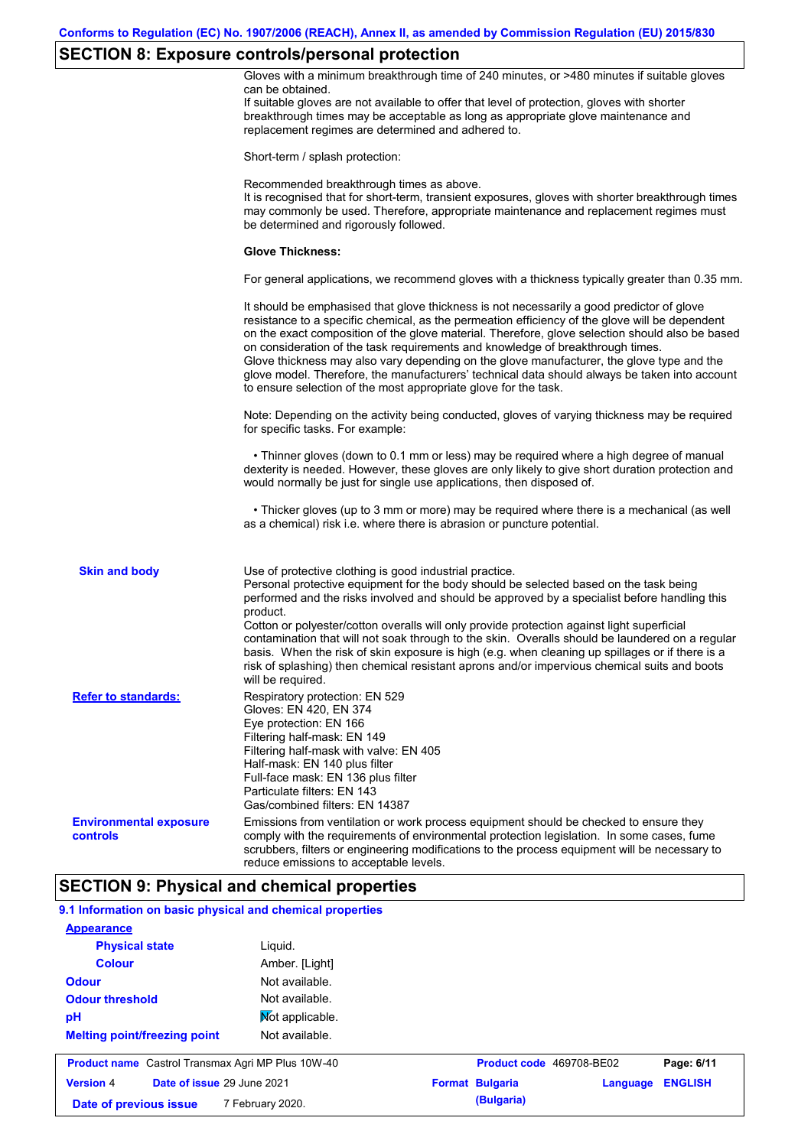# **SECTION 8: Exposure controls/personal protection**

|                                                           | $\sim$<br>Gloves with a minimum breakthrough time of 240 minutes, or >480 minutes if suitable gloves<br>can be obtained.<br>If suitable gloves are not available to offer that level of protection, gloves with shorter<br>breakthrough times may be acceptable as long as appropriate glove maintenance and<br>replacement regimes are determined and adhered to.                                                                                                                                                                                                                                                                                |
|-----------------------------------------------------------|---------------------------------------------------------------------------------------------------------------------------------------------------------------------------------------------------------------------------------------------------------------------------------------------------------------------------------------------------------------------------------------------------------------------------------------------------------------------------------------------------------------------------------------------------------------------------------------------------------------------------------------------------|
|                                                           | Short-term / splash protection:                                                                                                                                                                                                                                                                                                                                                                                                                                                                                                                                                                                                                   |
|                                                           | Recommended breakthrough times as above.<br>It is recognised that for short-term, transient exposures, gloves with shorter breakthrough times<br>may commonly be used. Therefore, appropriate maintenance and replacement regimes must<br>be determined and rigorously followed.                                                                                                                                                                                                                                                                                                                                                                  |
|                                                           | <b>Glove Thickness:</b>                                                                                                                                                                                                                                                                                                                                                                                                                                                                                                                                                                                                                           |
|                                                           | For general applications, we recommend gloves with a thickness typically greater than 0.35 mm.                                                                                                                                                                                                                                                                                                                                                                                                                                                                                                                                                    |
|                                                           | It should be emphasised that glove thickness is not necessarily a good predictor of glove<br>resistance to a specific chemical, as the permeation efficiency of the glove will be dependent<br>on the exact composition of the glove material. Therefore, glove selection should also be based<br>on consideration of the task requirements and knowledge of breakthrough times.<br>Glove thickness may also vary depending on the glove manufacturer, the glove type and the<br>glove model. Therefore, the manufacturers' technical data should always be taken into account<br>to ensure selection of the most appropriate glove for the task. |
|                                                           | Note: Depending on the activity being conducted, gloves of varying thickness may be required<br>for specific tasks. For example:                                                                                                                                                                                                                                                                                                                                                                                                                                                                                                                  |
|                                                           | • Thinner gloves (down to 0.1 mm or less) may be required where a high degree of manual<br>dexterity is needed. However, these gloves are only likely to give short duration protection and<br>would normally be just for single use applications, then disposed of.                                                                                                                                                                                                                                                                                                                                                                              |
|                                                           | • Thicker gloves (up to 3 mm or more) may be required where there is a mechanical (as well<br>as a chemical) risk i.e. where there is abrasion or puncture potential.                                                                                                                                                                                                                                                                                                                                                                                                                                                                             |
| <b>Skin and body</b>                                      | Use of protective clothing is good industrial practice.<br>Personal protective equipment for the body should be selected based on the task being<br>performed and the risks involved and should be approved by a specialist before handling this                                                                                                                                                                                                                                                                                                                                                                                                  |
|                                                           | product.<br>Cotton or polyester/cotton overalls will only provide protection against light superficial<br>contamination that will not soak through to the skin. Overalls should be laundered on a regular<br>basis. When the risk of skin exposure is high (e.g. when cleaning up spillages or if there is a<br>risk of splashing) then chemical resistant aprons and/or impervious chemical suits and boots<br>will be required.                                                                                                                                                                                                                 |
| <b>Refer to standards:</b>                                | Respiratory protection: EN 529<br>Gloves: EN 420, EN 374                                                                                                                                                                                                                                                                                                                                                                                                                                                                                                                                                                                          |
|                                                           | Eye protection: EN 166<br>Filtering half-mask: EN 149<br>Filtering half-mask with valve: EN 405<br>Half-mask: EN 140 plus filter<br>Full-face mask: EN 136 plus filter<br>Particulate filters: EN 143<br>Gas/combined filters: EN 14387                                                                                                                                                                                                                                                                                                                                                                                                           |
| <b>Environmental exposure</b><br>controls                 | Emissions from ventilation or work process equipment should be checked to ensure they<br>comply with the requirements of environmental protection legislation. In some cases, fume<br>scrubbers, filters or engineering modifications to the process equipment will be necessary to<br>reduce emissions to acceptable levels.                                                                                                                                                                                                                                                                                                                     |
|                                                           | <b>SECTION 9: Physical and chemical properties</b>                                                                                                                                                                                                                                                                                                                                                                                                                                                                                                                                                                                                |
| 9.1 Information on basic physical and chemical properties |                                                                                                                                                                                                                                                                                                                                                                                                                                                                                                                                                                                                                                                   |
| <b>Appearance</b>                                         |                                                                                                                                                                                                                                                                                                                                                                                                                                                                                                                                                                                                                                                   |
| <b>Physical state</b>                                     | Liquid.                                                                                                                                                                                                                                                                                                                                                                                                                                                                                                                                                                                                                                           |
| <b>Colour</b>                                             | Amber. [Light]                                                                                                                                                                                                                                                                                                                                                                                                                                                                                                                                                                                                                                    |
| <b>Odour</b>                                              | Not available.                                                                                                                                                                                                                                                                                                                                                                                                                                                                                                                                                                                                                                    |
| <b>Odour threshold</b>                                    | Not available.                                                                                                                                                                                                                                                                                                                                                                                                                                                                                                                                                                                                                                    |
| рH                                                        | Mot applicable.                                                                                                                                                                                                                                                                                                                                                                                                                                                                                                                                                                                                                                   |
| <b>Melting point/freezing point</b>                       | Not available.                                                                                                                                                                                                                                                                                                                                                                                                                                                                                                                                                                                                                                    |

| <b>Product name</b> Castrol Transmax Agri MP Plus 10W-40 |  | <b>Product code</b> 469708-BE02   |  | Page: 6/11             |                         |  |
|----------------------------------------------------------|--|-----------------------------------|--|------------------------|-------------------------|--|
| <b>Version 4</b>                                         |  | <b>Date of issue 29 June 2021</b> |  | <b>Format Bulgaria</b> | <b>Language ENGLISH</b> |  |
| Date of previous issue                                   |  | 7 February 2020.                  |  | (Bulgaria)             |                         |  |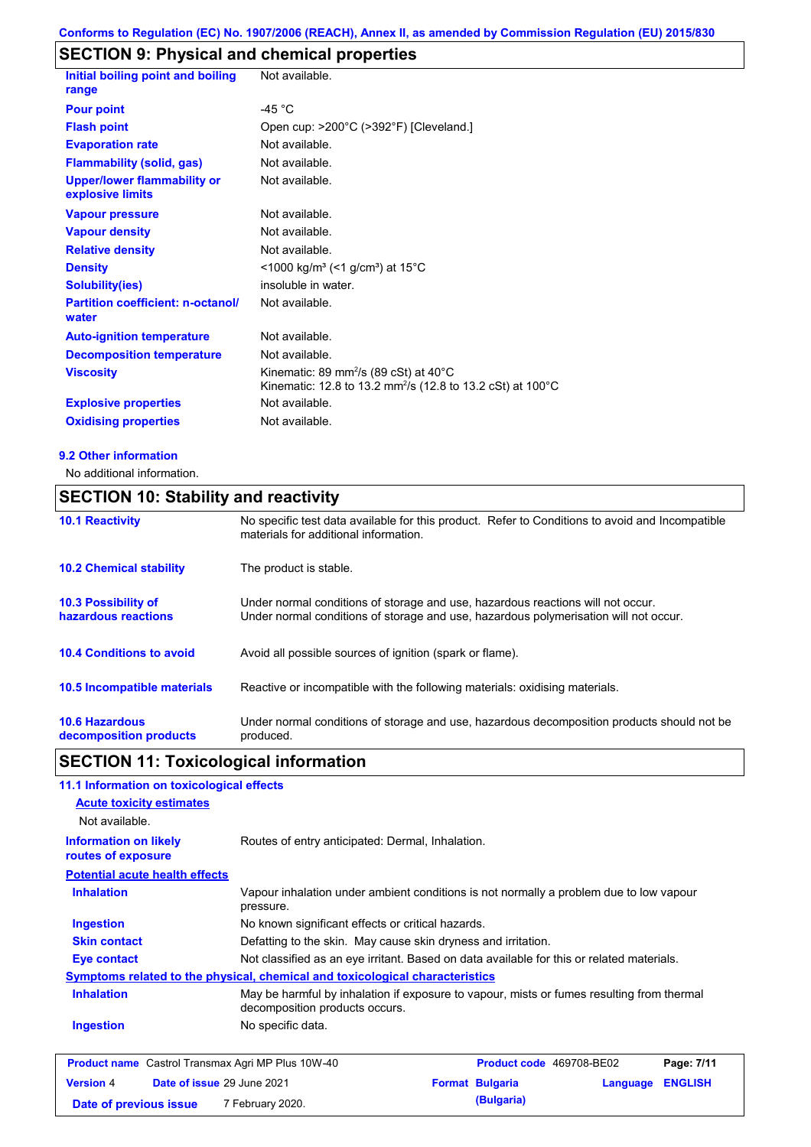# **SECTION 9: Physical and chemical properties**

| <b>Initial boiling point and boiling</b><br>range      | Not available.                                                                                                                          |
|--------------------------------------------------------|-----------------------------------------------------------------------------------------------------------------------------------------|
| <b>Pour point</b>                                      | $-45 °C$                                                                                                                                |
| <b>Flash point</b>                                     | Open cup: >200°C (>392°F) [Cleveland.]                                                                                                  |
| <b>Evaporation rate</b>                                | Not available.                                                                                                                          |
| <b>Flammability (solid, gas)</b>                       | Not available.                                                                                                                          |
| <b>Upper/lower flammability or</b><br>explosive limits | Not available.                                                                                                                          |
| <b>Vapour pressure</b>                                 | Not available.                                                                                                                          |
| <b>Vapour density</b>                                  | Not available.                                                                                                                          |
| <b>Relative density</b>                                | Not available.                                                                                                                          |
| <b>Density</b>                                         | $<$ 1000 kg/m <sup>3</sup> (<1 g/cm <sup>3</sup> ) at 15 <sup>°</sup> C                                                                 |
| <b>Solubility(ies)</b>                                 | insoluble in water.                                                                                                                     |
| <b>Partition coefficient: n-octanol/</b><br>water      | Not available.                                                                                                                          |
| <b>Auto-ignition temperature</b>                       | Not available.                                                                                                                          |
| <b>Decomposition temperature</b>                       | Not available.                                                                                                                          |
| <b>Viscosity</b>                                       | Kinematic: 89 mm <sup>2</sup> /s (89 cSt) at 40 $^{\circ}$ C<br>Kinematic: 12.8 to 13.2 mm <sup>2</sup> /s (12.8 to 13.2 cSt) at 100 °C |
| <b>Explosive properties</b>                            | Not available.                                                                                                                          |
| <b>Oxidising properties</b>                            | Not available.                                                                                                                          |
|                                                        |                                                                                                                                         |

#### **9.2 Other information**

No additional information.

## **SECTION 10: Stability and reactivity**

| <b>10.1 Reactivity</b>                            | No specific test data available for this product. Refer to Conditions to avoid and Incompatible<br>materials for additional information.                                |
|---------------------------------------------------|-------------------------------------------------------------------------------------------------------------------------------------------------------------------------|
| <b>10.2 Chemical stability</b>                    | The product is stable.                                                                                                                                                  |
| <b>10.3 Possibility of</b><br>hazardous reactions | Under normal conditions of storage and use, hazardous reactions will not occur.<br>Under normal conditions of storage and use, hazardous polymerisation will not occur. |
| <b>10.4 Conditions to avoid</b>                   | Avoid all possible sources of ignition (spark or flame).                                                                                                                |
| <b>10.5 Incompatible materials</b>                | Reactive or incompatible with the following materials: oxidising materials.                                                                                             |
| <b>10.6 Hazardous</b><br>decomposition products   | Under normal conditions of storage and use, hazardous decomposition products should not be<br>produced.                                                                 |

### **SECTION 11: Toxicological information**

### **11.1 Information on toxicological effects**

| <u>II.I IIIIVIIIIAUVII VII WAIGOIOGIGAI GIIGGIS</u>                          |                                                                                           |                                                                                           |                          |          |                |
|------------------------------------------------------------------------------|-------------------------------------------------------------------------------------------|-------------------------------------------------------------------------------------------|--------------------------|----------|----------------|
| <b>Acute toxicity estimates</b>                                              |                                                                                           |                                                                                           |                          |          |                |
| Not available.                                                               |                                                                                           |                                                                                           |                          |          |                |
| <b>Information on likely</b><br>routes of exposure                           |                                                                                           | Routes of entry anticipated: Dermal, Inhalation.                                          |                          |          |                |
| <b>Potential acute health effects</b>                                        |                                                                                           |                                                                                           |                          |          |                |
| <b>Inhalation</b>                                                            | pressure.                                                                                 | Vapour inhalation under ambient conditions is not normally a problem due to low vapour    |                          |          |                |
| Ingestion                                                                    |                                                                                           | No known significant effects or critical hazards.                                         |                          |          |                |
| <b>Skin contact</b>                                                          |                                                                                           | Defatting to the skin. May cause skin dryness and irritation.                             |                          |          |                |
| Eye contact                                                                  | Not classified as an eye irritant. Based on data available for this or related materials. |                                                                                           |                          |          |                |
| Symptoms related to the physical, chemical and toxicological characteristics |                                                                                           |                                                                                           |                          |          |                |
| <b>Inhalation</b>                                                            | decomposition products occurs.                                                            | May be harmful by inhalation if exposure to vapour, mists or fumes resulting from thermal |                          |          |                |
| Ingestion                                                                    | No specific data.                                                                         |                                                                                           |                          |          |                |
| <b>Product name</b> Castrol Transmax Agri MP Plus 10W-40                     |                                                                                           |                                                                                           | Product code 469708-BE02 |          | Page: 7/11     |
| Date of issue 29 June 2021<br><b>Version 4</b>                               |                                                                                           |                                                                                           | <b>Format Bulgaria</b>   | Language | <b>ENGLISH</b> |

**Date of previous issue 7 February 2020. (Bulgaria) (Bulgaria)**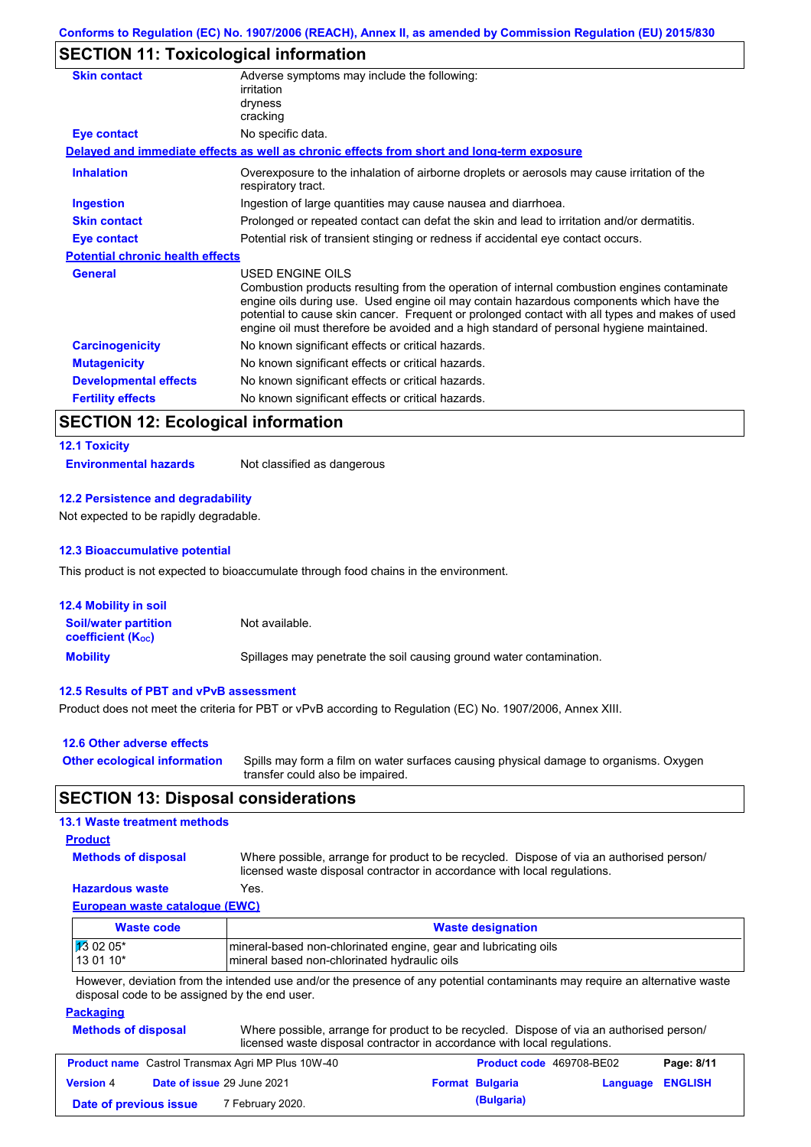### **SECTION 11: Toxicological information**

| <b>Skin contact</b>                     | Adverse symptoms may include the following:<br>irritation                                                                                                                                                                                                                                                                                                                                                |
|-----------------------------------------|----------------------------------------------------------------------------------------------------------------------------------------------------------------------------------------------------------------------------------------------------------------------------------------------------------------------------------------------------------------------------------------------------------|
|                                         | dryness<br>cracking                                                                                                                                                                                                                                                                                                                                                                                      |
| Eye contact                             | No specific data.                                                                                                                                                                                                                                                                                                                                                                                        |
|                                         | Delayed and immediate effects as well as chronic effects from short and long-term exposure                                                                                                                                                                                                                                                                                                               |
| <b>Inhalation</b>                       | Overexposure to the inhalation of airborne droplets or aerosols may cause irritation of the<br>respiratory tract.                                                                                                                                                                                                                                                                                        |
| <b>Ingestion</b>                        | Ingestion of large quantities may cause nausea and diarrhoea.                                                                                                                                                                                                                                                                                                                                            |
| <b>Skin contact</b>                     | Prolonged or repeated contact can defat the skin and lead to irritation and/or dermatitis.                                                                                                                                                                                                                                                                                                               |
| Eye contact                             | Potential risk of transient stinging or redness if accidental eye contact occurs.                                                                                                                                                                                                                                                                                                                        |
| <b>Potential chronic health effects</b> |                                                                                                                                                                                                                                                                                                                                                                                                          |
| <b>General</b>                          | USED ENGINE OILS<br>Combustion products resulting from the operation of internal combustion engines contaminate<br>engine oils during use. Used engine oil may contain hazardous components which have the<br>potential to cause skin cancer. Frequent or prolonged contact with all types and makes of used<br>engine oil must therefore be avoided and a high standard of personal hygiene maintained. |
| <b>Carcinogenicity</b>                  | No known significant effects or critical hazards.                                                                                                                                                                                                                                                                                                                                                        |
| <b>Mutagenicity</b>                     | No known significant effects or critical hazards.                                                                                                                                                                                                                                                                                                                                                        |
| <b>Developmental effects</b>            | No known significant effects or critical hazards.                                                                                                                                                                                                                                                                                                                                                        |
| <b>Fertility effects</b>                | No known significant effects or critical hazards.                                                                                                                                                                                                                                                                                                                                                        |

# **SECTION 12: Ecological information**

| <b>12.1 Toxicity</b>         |                             |
|------------------------------|-----------------------------|
| <b>Environmental hazards</b> | Not classified as dangerous |

### **12.2 Persistence and degradability**

Not expected to be rapidly degradable.

#### **12.3 Bioaccumulative potential**

This product is not expected to bioaccumulate through food chains in the environment.

| <b>12.4 Mobility in soil</b>                            |                                                                      |
|---------------------------------------------------------|----------------------------------------------------------------------|
| <b>Soil/water partition</b><br><b>coefficient (Koc)</b> | Not available.                                                       |
| <b>Mobility</b>                                         | Spillages may penetrate the soil causing ground water contamination. |

#### **12.5 Results of PBT and vPvB assessment**

Product does not meet the criteria for PBT or vPvB according to Regulation (EC) No. 1907/2006, Annex XIII.

| 12.6 Other adverse effects          |                                                                                                                           |
|-------------------------------------|---------------------------------------------------------------------------------------------------------------------------|
| <b>Other ecological information</b> | Spills may form a film on water surfaces causing physical damage to organisms. Oxygen<br>transfer could also be impaired. |

### **SECTION 13: Disposal considerations**

#### **13.1 Waste treatment methods**

#### **Product**

**Methods of disposal**

Where possible, arrange for product to be recycled. Dispose of via an authorised person/ licensed waste disposal contractor in accordance with local regulations.

### **Hazardous waste** Yes.

**European waste catalogue (EWC)**

| Waste code           | <b>Waste designation</b>                                        |
|----------------------|-----------------------------------------------------------------|
| $\frac{1}{3}$ 02 05* | mineral-based non-chlorinated engine, gear and lubricating oils |
| $130110*$            | Imineral based non-chlorinated hydraulic oils                   |

However, deviation from the intended use and/or the presence of any potential contaminants may require an alternative waste disposal code to be assigned by the end user.

#### **Packaging**

| <b>Methods of disposal</b> | Where possible, arrange for product to be recycled. Dispose of via an authorised person/ |
|----------------------------|------------------------------------------------------------------------------------------|
|                            | licensed waste disposal contractor in accordance with local regulations.                 |

|                        | <b>Product name</b> Castrol Transmax Agri MP Plus 10W-40 | <b>Product code</b> 469708-BE02 |                  | Page: 8/11 |
|------------------------|----------------------------------------------------------|---------------------------------|------------------|------------|
| <b>Version 4</b>       | <b>Date of issue 29 June 2021</b>                        | <b>Format Bulgaria</b>          | Language ENGLISH |            |
| Date of previous issue | 7 February 2020.                                         | (Bulgaria)                      |                  |            |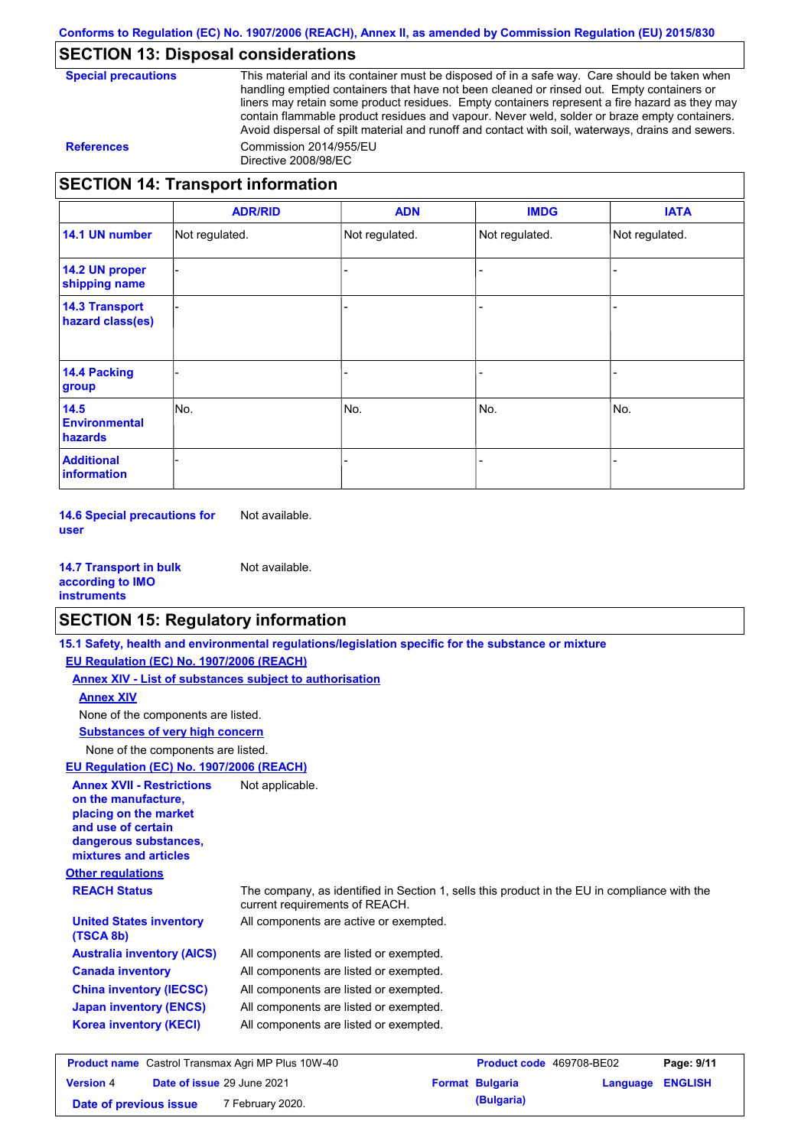### **SECTION 13: Disposal considerations**

| <b>Special precautions</b> |
|----------------------------|
|----------------------------|

This material and its container must be disposed of in a safe way. Care should be taken when handling emptied containers that have not been cleaned or rinsed out. Empty containers or liners may retain some product residues. Empty containers represent a fire hazard as they may contain flammable product residues and vapour. Never weld, solder or braze empty containers. Avoid dispersal of spilt material and runoff and contact with soil, waterways, drains and sewers. **References** Commission 2014/955/EU Directive 2008/98/EC

### **SECTION 14: Transport information**

|                                           | <b>ADR/RID</b> | <b>ADN</b>     | <b>IMDG</b>    | <b>IATA</b>    |
|-------------------------------------------|----------------|----------------|----------------|----------------|
| 14.1 UN number                            | Not regulated. | Not regulated. | Not regulated. | Not regulated. |
| 14.2 UN proper<br>shipping name           |                |                |                |                |
| <b>14.3 Transport</b><br>hazard class(es) |                |                |                |                |
| <b>14.4 Packing</b><br>group              |                |                |                |                |
| 14.5<br><b>Environmental</b><br>hazards   | No.            | No.            | No.            | No.            |
| <b>Additional</b><br>information          |                |                |                |                |

**14.6 Special precautions for user** Not available.

**14.7 Transport in bulk according to IMO instruments** Not available.

### **SECTION 15: Regulatory information**

|                                                                                                                                                          | 15.1 Safety, health and environmental regulations/legislation specific for the substance or mixture                            |                          |          |                |
|----------------------------------------------------------------------------------------------------------------------------------------------------------|--------------------------------------------------------------------------------------------------------------------------------|--------------------------|----------|----------------|
| EU Regulation (EC) No. 1907/2006 (REACH)                                                                                                                 |                                                                                                                                |                          |          |                |
|                                                                                                                                                          | Annex XIV - List of substances subject to authorisation                                                                        |                          |          |                |
| <b>Annex XIV</b>                                                                                                                                         |                                                                                                                                |                          |          |                |
| None of the components are listed.                                                                                                                       |                                                                                                                                |                          |          |                |
| <b>Substances of very high concern</b>                                                                                                                   |                                                                                                                                |                          |          |                |
| None of the components are listed.                                                                                                                       |                                                                                                                                |                          |          |                |
| EU Regulation (EC) No. 1907/2006 (REACH)                                                                                                                 |                                                                                                                                |                          |          |                |
| <b>Annex XVII - Restrictions</b><br>on the manufacture.<br>placing on the market<br>and use of certain<br>dangerous substances,<br>mixtures and articles | Not applicable.                                                                                                                |                          |          |                |
| <b>Other regulations</b>                                                                                                                                 |                                                                                                                                |                          |          |                |
| <b>REACH Status</b>                                                                                                                                      | The company, as identified in Section 1, sells this product in the EU in compliance with the<br>current requirements of REACH. |                          |          |                |
| <b>United States inventory</b><br>(TSCA 8b)                                                                                                              | All components are active or exempted.                                                                                         |                          |          |                |
| <b>Australia inventory (AICS)</b>                                                                                                                        | All components are listed or exempted.                                                                                         |                          |          |                |
| <b>Canada inventory</b>                                                                                                                                  | All components are listed or exempted.                                                                                         |                          |          |                |
| <b>China inventory (IECSC)</b>                                                                                                                           | All components are listed or exempted.                                                                                         |                          |          |                |
| <b>Japan inventory (ENCS)</b>                                                                                                                            | All components are listed or exempted.                                                                                         |                          |          |                |
| <b>Korea inventory (KECI)</b>                                                                                                                            | All components are listed or exempted.                                                                                         |                          |          |                |
| <b>Product name</b> Castrol Transmax Agri MP Plus 10W-40                                                                                                 |                                                                                                                                | Product code 469708-BE02 |          | Page: 9/11     |
| Date of issue 29 June 2021<br><b>Version 4</b>                                                                                                           |                                                                                                                                | <b>Format Bulgaria</b>   | Language | <b>ENGLISH</b> |

**Date of previous issue 7 February 2020. (Bulgaria) (Bulgaria)**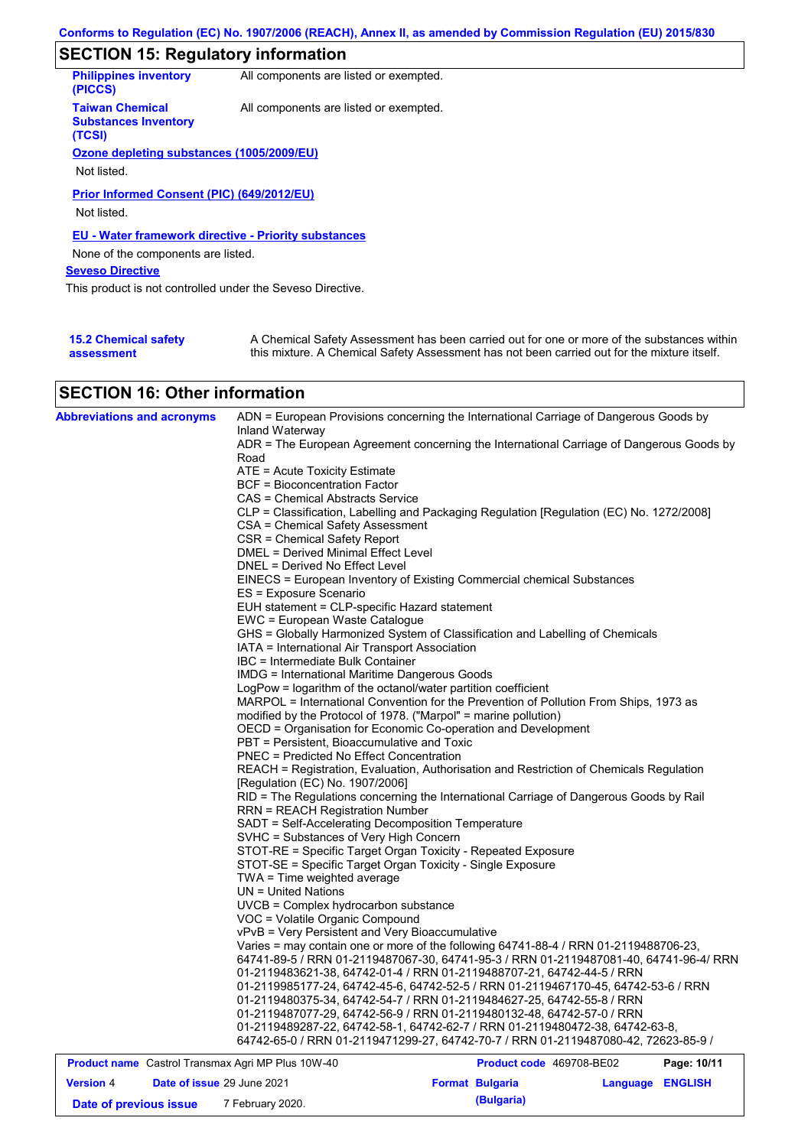# **SECTION 15: Regulatory information**

| <b>Philippines inventory</b><br>(PICCS)                         | All components are listed or exempted. |
|-----------------------------------------------------------------|----------------------------------------|
| <b>Taiwan Chemical</b><br><b>Substances Inventory</b><br>(TCSI) | All components are listed or exempted. |
| Ozone depleting substances (1005/2009/EU)                       |                                        |
|                                                                 |                                        |
| Not listed.                                                     |                                        |
| Prior Informed Consent (PIC) (649/2012/EU)<br>Not listed.       |                                        |
| <b>EU - Water framework directive - Priority substances</b>     |                                        |
| None of the components are listed.                              |                                        |
| <b>Seveso Directive</b>                                         |                                        |
| This product is not controlled under the Seveso Directive.      |                                        |
|                                                                 |                                        |

| <b>15.2 Chemical safety</b> | A Chemical Safety Assessment has been carried out for one or more of the substances within  |
|-----------------------------|---------------------------------------------------------------------------------------------|
| assessment                  | this mixture. A Chemical Safety Assessment has not been carried out for the mixture itself. |

### **SECTION 16: Other information**

|  |                                                                 | 64742-65-0 / RRN 01-2119471299-27, 64742-70-7 / RRN 01-2119487080-42, 72623-85-9 /                                                                    |  |
|--|-----------------------------------------------------------------|-------------------------------------------------------------------------------------------------------------------------------------------------------|--|
|  |                                                                 |                                                                                                                                                       |  |
|  |                                                                 |                                                                                                                                                       |  |
|  |                                                                 | 01-2119487077-29, 64742-56-9 / RRN 01-2119480132-48, 64742-57-0 / RRN<br>01-2119489287-22, 64742-58-1, 64742-62-7 / RRN 01-2119480472-38, 64742-63-8, |  |
|  |                                                                 | 01-2119480375-34, 64742-54-7 / RRN 01-2119484627-25, 64742-55-8 / RRN                                                                                 |  |
|  |                                                                 | 01-2119985177-24, 64742-45-6, 64742-52-5 / RRN 01-2119467170-45, 64742-53-6 / RRN                                                                     |  |
|  |                                                                 |                                                                                                                                                       |  |
|  |                                                                 | 01-2119483621-38, 64742-01-4 / RRN 01-2119488707-21, 64742-44-5 / RRN                                                                                 |  |
|  |                                                                 | 64741-89-5 / RRN 01-2119487067-30, 64741-95-3 / RRN 01-2119487081-40, 64741-96-4/ RRN                                                                 |  |
|  |                                                                 | Varies = may contain one or more of the following 64741-88-4 / RRN 01-2119488706-23,                                                                  |  |
|  | vPvB = Very Persistent and Very Bioaccumulative                 |                                                                                                                                                       |  |
|  | VOC = Volatile Organic Compound                                 |                                                                                                                                                       |  |
|  | UVCB = Complex hydrocarbon substance                            |                                                                                                                                                       |  |
|  | TWA = Time weighted average<br>$UN = United Nations$            |                                                                                                                                                       |  |
|  | STOT-SE = Specific Target Organ Toxicity - Single Exposure      |                                                                                                                                                       |  |
|  |                                                                 | STOT-RE = Specific Target Organ Toxicity - Repeated Exposure                                                                                          |  |
|  | SVHC = Substances of Very High Concern                          |                                                                                                                                                       |  |
|  | SADT = Self-Accelerating Decomposition Temperature              |                                                                                                                                                       |  |
|  | <b>RRN = REACH Registration Number</b>                          |                                                                                                                                                       |  |
|  |                                                                 | RID = The Regulations concerning the International Carriage of Dangerous Goods by Rail                                                                |  |
|  | [Regulation (EC) No. 1907/2006]                                 |                                                                                                                                                       |  |
|  |                                                                 | REACH = Registration, Evaluation, Authorisation and Restriction of Chemicals Regulation                                                               |  |
|  | <b>PNEC = Predicted No Effect Concentration</b>                 |                                                                                                                                                       |  |
|  | PBT = Persistent, Bioaccumulative and Toxic                     |                                                                                                                                                       |  |
|  |                                                                 | OECD = Organisation for Economic Co-operation and Development                                                                                         |  |
|  |                                                                 |                                                                                                                                                       |  |
|  | modified by the Protocol of 1978. ("Marpol" = marine pollution) |                                                                                                                                                       |  |
|  |                                                                 | MARPOL = International Convention for the Prevention of Pollution From Ships, 1973 as                                                                 |  |
|  | LogPow = logarithm of the octanol/water partition coefficient   |                                                                                                                                                       |  |
|  | <b>IMDG = International Maritime Dangerous Goods</b>            |                                                                                                                                                       |  |
|  | IBC = Intermediate Bulk Container                               |                                                                                                                                                       |  |
|  | IATA = International Air Transport Association                  |                                                                                                                                                       |  |
|  |                                                                 | GHS = Globally Harmonized System of Classification and Labelling of Chemicals                                                                         |  |
|  | EWC = European Waste Catalogue                                  |                                                                                                                                                       |  |
|  | EUH statement = CLP-specific Hazard statement                   |                                                                                                                                                       |  |
|  | ES = Exposure Scenario                                          |                                                                                                                                                       |  |
|  |                                                                 | EINECS = European Inventory of Existing Commercial chemical Substances                                                                                |  |
|  | DNEL = Derived No Effect Level                                  |                                                                                                                                                       |  |
|  | DMEL = Derived Minimal Effect Level                             |                                                                                                                                                       |  |
|  | CSR = Chemical Safety Report                                    |                                                                                                                                                       |  |
|  | CSA = Chemical Safety Assessment                                |                                                                                                                                                       |  |
|  | CAS = Chemical Abstracts Service                                | CLP = Classification, Labelling and Packaging Regulation [Regulation (EC) No. 1272/2008]                                                              |  |
|  | <b>BCF</b> = Bioconcentration Factor                            |                                                                                                                                                       |  |
|  | $ATE = Acute Toxicity Estimate$                                 |                                                                                                                                                       |  |
|  | Road                                                            |                                                                                                                                                       |  |
|  |                                                                 | ADR = The European Agreement concerning the International Carriage of Dangerous Goods by                                                              |  |
|  | Inland Waterway                                                 |                                                                                                                                                       |  |
|  |                                                                 |                                                                                                                                                       |  |

|                        | <b>Product name</b> Castrol Transmax Agri MP Plus 10W-40 | Product code 469708-BE02 |                  | Page: 10/11 |
|------------------------|----------------------------------------------------------|--------------------------|------------------|-------------|
| <b>Version 4</b>       | <b>Date of issue 29 June 2021</b>                        | <b>Format Bulgaria</b>   | Language ENGLISH |             |
| Date of previous issue | 7 February 2020.                                         | (Bulgaria)               |                  |             |